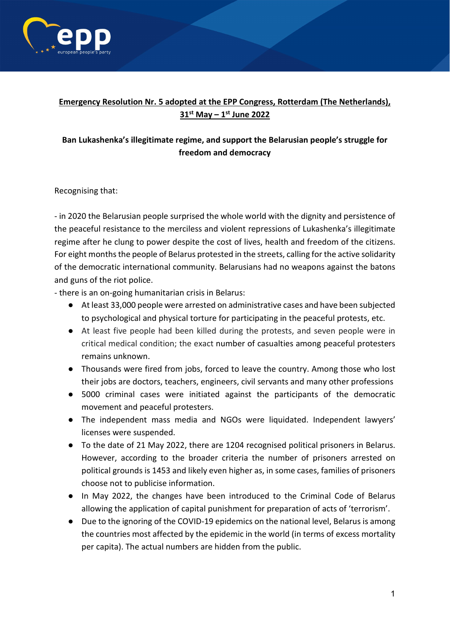

## **Emergency Resolution Nr. 5 adopted at the EPP Congress, Rotterdam (The Netherlands), 31st May – 1st June 2022**

## **Ban Lukashenka's illegitimate regime, and support the Belarusian people's struggle for freedom and democracy**

Recognising that:

- in 2020 the Belarusian people surprised the whole world with the dignity and persistence of the peaceful resistance to the merciless and violent repressions of Lukashenka's illegitimate regime after he clung to power despite the cost of lives, health and freedom of the citizens. For eight months the people of Belarus protested in the streets, calling for the active solidarity of the democratic international community. Belarusians had no weapons against the batons and guns of the riot police.

- there is an on-going humanitarian crisis in Belarus:

- At least 33,000 people were arrested on administrative cases and have been subjected to psychological and physical torture for participating in the peaceful protests, etc.
- At least five people had been killed during the protests, and seven people were in critical medical condition; the exact number of casualties among peaceful protesters remains unknown.
- Thousands were fired from jobs, forced to leave the country. Among those who lost their jobs are doctors, teachers, engineers, civil servants and many other professions
- 5000 criminal cases were initiated against the participants of the democratic movement and peaceful protesters.
- The independent mass media and NGOs were liquidated. Independent lawyers' licenses were suspended.
- To the date of 21 May 2022, there are 1204 recognised political prisoners in Belarus. However, according to the broader criteria the number of prisoners arrested on political grounds is 1453 and likely even higher as, in some cases, families of prisoners choose not to publicise information.
- In May 2022, the changes have been introduced to the Criminal Code of Belarus allowing the application of capital punishment for preparation of acts of 'terrorism'.
- Due to the ignoring of the COVID-19 epidemics on the national level, Belarus is among the countries most affected by the epidemic in the world (in terms of excess mortality per capita). The actual numbers are hidden from the public.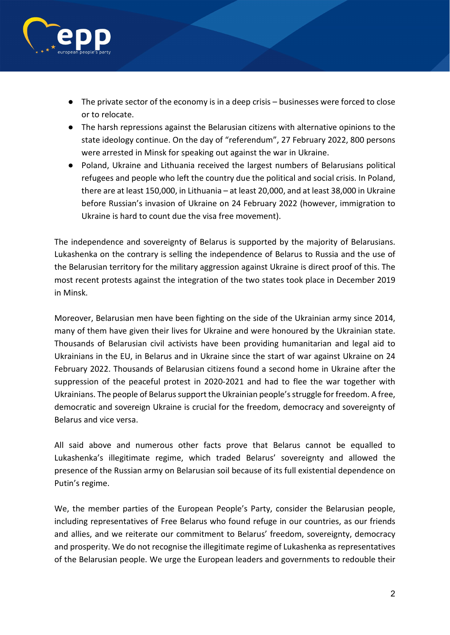

- The private sector of the economy is in a deep crisis businesses were forced to close or to relocate.
- The harsh repressions against the Belarusian citizens with alternative opinions to the state ideology continue. On the day of "referendum", 27 February 2022, 800 persons were arrested in Minsk for speaking out against the war in Ukraine.
- Poland, Ukraine and Lithuania received the largest numbers of Belarusians political refugees and people who left the country due the political and social crisis. In Poland, there are at least 150,000, in Lithuania – at least 20,000, and at least 38,000 in Ukraine before Russian's invasion of Ukraine on 24 February 2022 (however, immigration to Ukraine is hard to count due the visa free movement).

The independence and sovereignty of Belarus is supported by the majority of Belarusians. Lukashenka on the contrary is selling the independence of Belarus to Russia and the use of the Belarusian territory for the military aggression against Ukraine is direct proof of this. The most recent protests against the integration of the two states took place in December 2019 in Minsk.

Moreover, Belarusian men have been fighting on the side of the Ukrainian army since 2014, many of them have given their lives for Ukraine and were honoured by the Ukrainian state. Thousands of Belarusian civil activists have been providing humanitarian and legal aid to Ukrainians in the EU, in Belarus and in Ukraine since the start of war against Ukraine on 24 February 2022. Thousands of Belarusian citizens found a second home in Ukraine after the suppression of the peaceful protest in 2020-2021 and had to flee the war together with Ukrainians. The people of Belarus support the Ukrainian people's struggle for freedom. A free, democratic and sovereign Ukraine is crucial for the freedom, democracy and sovereignty of Belarus and vice versa.

All said above and numerous other facts prove that Belarus cannot be equalled to Lukashenka's illegitimate regime, which traded Belarus' sovereignty and allowed the presence of the Russian army on Belarusian soil because of its full existential dependence on Putin's regime.

We, the member parties of the European People's Party, consider the Belarusian people, including representatives of Free Belarus who found refuge in our countries, as our friends and allies, and we reiterate our commitment to Belarus' freedom, sovereignty, democracy and prosperity. We do not recognise the illegitimate regime of Lukashenka as representatives of the Belarusian people. We urge the European leaders and governments to redouble their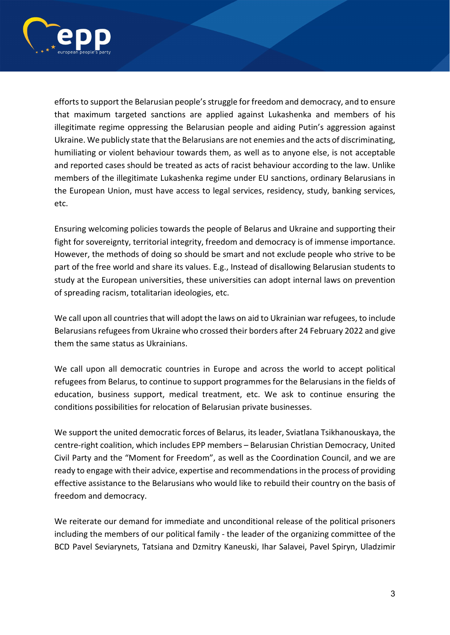

efforts to support the Belarusian people's struggle for freedom and democracy, and to ensure that maximum targeted sanctions are applied against Lukashenka and members of his illegitimate regime oppressing the Belarusian people and aiding Putin's aggression against Ukraine. We publicly state that the Belarusians are not enemies and the acts of discriminating, humiliating or violent behaviour towards them, as well as to anyone else, is not acceptable and reported cases should be treated as acts of racist behaviour according to the law. Unlike members of the illegitimate Lukashenka regime under EU sanctions, ordinary Belarusians in the European Union, must have access to legal services, residency, study, banking services, etc.

Ensuring welcoming policies towards the people of Belarus and Ukraine and supporting their fight for sovereignty, territorial integrity, freedom and democracy is of immense importance. However, the methods of doing so should be smart and not exclude people who strive to be part of the free world and share its values. E.g., Instead of disallowing Belarusian students to study at the European universities, these universities can adopt internal laws on prevention of spreading racism, totalitarian ideologies, etc.

We call upon all countries that will adopt the laws on aid to Ukrainian war refugees, to include Belarusians refugees from Ukraine who crossed their borders after 24 February 2022 and give them the same status as Ukrainians.

We call upon all democratic countries in Europe and across the world to accept political refugees from Belarus, to continue to support programmes for the Belarusians in the fields of education, business support, medical treatment, etc. We ask to continue ensuring the conditions possibilities for relocation of Belarusian private businesses.

We support the united democratic forces of Belarus, its leader, Sviatlana Tsikhanouskaya, the centre-right coalition, which includes EPP members – Belarusian Christian Democracy, United Civil Party and the "Moment for Freedom", as well as the Coordination Council, and we are ready to engage with their advice, expertise and recommendations in the process of providing effective assistance to the Belarusians who would like to rebuild their country on the basis of freedom and democracy.

We reiterate our demand for immediate and unconditional release of the political prisoners including the members of our political family - the leader of the organizing committee of the BCD Pavel Seviarynets, Tatsiana and Dzmitry Kaneuski, Ihar Salavei, Pavel Spiryn, Uladzimir